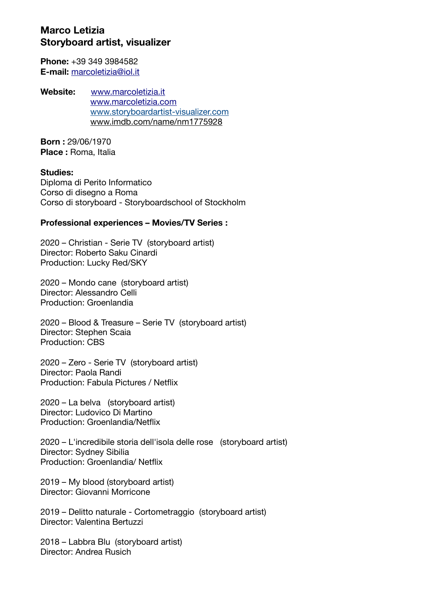# **Marco Letizia Storyboard artist, visualizer**

**Phone:** +39 349 3984582 **E-mail:** [marcoletizia@iol.it](mailto:marcoletizia@iol.it)

**Website:** [www.marcoletizia.it](http://www.marcoletizia.it/) [www.marcoletizia.com](http://www.marcoletizia.com/) [www.storyboardartist-visualizer.com](http://www.storyboardartist-visualizer.com/) [www.imdb.com/name/nm1775928](http://www.imdb.com/name/nm1775928)

**Born :** 29/06/1970 **Place :** Roma, Italia

#### **Studies:**

Diploma di Perito Informatico Corso di disegno a Roma Corso di storyboard - Storyboardschool of Stockholm

### **Professional experiences – Movies/TV Series :**

2020 – Christian - Serie TV (storyboard artist) Director: Roberto Saku Cinardi Production: Lucky Red/SKY

2020 – Mondo cane (storyboard artist) Director: Alessandro Celli Production: Groenlandia

2020 – Blood & Treasure – Serie TV (storyboard artist) Director: Stephen Scaia Production: CBS

2020 – Zero - Serie TV (storyboard artist) Director: Paola Randi Production: Fabula Pictures / Netflix

2020 – La belva (storyboard artist) Director: Ludovico Di Martino Production: Groenlandia/Netflix

2020 – L'incredibile storia dell'isola delle rose (storyboard artist) Director: Sydney Sibilia Production: Groenlandia/ Netflix

2019 – My blood (storyboard artist) Director: Giovanni Morricone

2019 – Delitto naturale - Cortometraggio (storyboard artist) Director: Valentina Bertuzzi

2018 – Labbra Blu (storyboard artist) Director: Andrea Rusich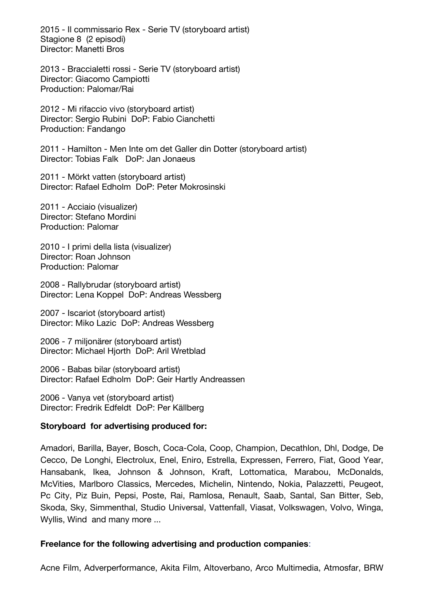2015 - Il commissario Rex - Serie TV (storyboard artist) Stagione 8 (2 episodi) Director: Manetti Bros

2013 - Braccialetti rossi - Serie TV (storyboard artist) Director: Giacomo Campiotti Production: Palomar/Rai

2012 - Mi rifaccio vivo (storyboard artist) Director: Sergio Rubini DoP: Fabio Cianchetti Production: Fandango

2011 - Hamilton - Men Inte om det Galler din Dotter (storyboard artist) Director: Tobias Falk DoP: Jan Jonaeus

2011 - Mörkt vatten (storyboard artist) Director: Rafael Edholm DoP: Peter Mokrosinski

2011 - Acciaio (visualizer) Director: Stefano Mordini Production: Palomar

2010 - I primi della lista (visualizer) Director: Roan Johnson Production: Palomar

2008 - Rallybrudar (storyboard artist) Director: Lena Koppel DoP: Andreas Wessberg

2007 - Iscariot (storyboard artist) Director: Miko Lazic DoP: Andreas Wessberg

2006 - 7 miljonärer (storyboard artist) Director: Michael Hjorth DoP: Aril Wretblad

2006 - Babas bilar (storyboard artist) Director: Rafael Edholm DoP: Geir Hartly Andreassen

2006 - Vanya vet (storyboard artist) Director: Fredrik Edfeldt DoP: Per Källberg

### **Storyboard for advertising produced for:**

Amadori, Barilla, Bayer, Bosch, Coca-Cola, Coop, Champion, Decathlon, Dhl, Dodge, De Cecco, De Longhi, Electrolux, Enel, Eniro, Estrella, Expressen, Ferrero, Fiat, Good Year, Hansabank, Ikea, Johnson & Johnson, Kraft, Lottomatica, Marabou, McDonalds, McVities, Marlboro Classics, Mercedes, Michelin, Nintendo, Nokia, Palazzetti, Peugeot, Pc City, Piz Buin, Pepsi, Poste, Rai, Ramlosa, Renault, Saab, Santal, San Bitter, Seb, Skoda, Sky, Simmenthal, Studio Universal, Vattenfall, Viasat, Volkswagen, Volvo, Winga, Wyllis, Wind and many more ...

### **Freelance for the following advertising and production companies**:

Acne Film, Adverperformance, Akita Film, Altoverbano, Arco Multimedia, Atmosfar, BRW